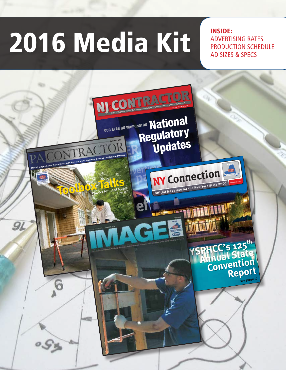# 2016 Media Kit ADVERTI

Advertising Rates Production Schedule Ad Sizes & SPecs

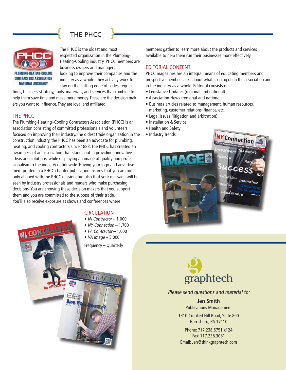#### $\int$   $\frac{1}{2}$   $\frac{1}{2}$   $\frac{1}{2}$   $\frac{1}{2}$  $\left\{$  THE PHCC  $\right\}$  $H = \frac{1}{2\pi\epsilon_0}$  $\overline{\phantom{a}}$  PHCC  $\overline{\phantom{a}}$



**The PHCC is the oldest and most**<br>The PHCC is the oldest and most The PHCC is the oldest and most mem<br>respected organization in the Plumbing- avail Heating-Cooling industry. PHCC members are **are locality** the internal managers business owners and managers looking to improve their companies and the industry as a whole. They actively work to stay on the cutting edge of codes, regula-FREE THE S ARE COMBINED TO A THE THE C IS ARE COMBINED TO A THE THEM SAVE TO A THE THEOREM SAVE TO HE THE THEOREM SAVE TO HE THE THEOREM SAVE TO HE THE THEOREM SAVE TO HER THE THEOREM SAVE TO HER THE THEOREM SAVE TO HER TH more money are the decision makers are the decision makers are the decision makers are the decision of the decision of the decision of the decision of the decision of the decision of the decision of the decision of the dec

tions, business strategy, tools, materials, and services that combine to help them save time and make more money. These are the decision makers you want to influence. They are loyal and affiliated. The Plumber of the Plumbertal Contractors Associated the Contractors Associated Contractors Association (PMC) is an above time and make more money. These are the decision makstay of the cutting edge of codes, regula-<br>ausiness strategy, tools, materials, and services that combine to<br>em save time and make more money. These are the decision mak-<br>want to influence. They are loval and affiliated business strategy, tools, materials, and services that combine to<br>nem save time and make more money. These are the decision mak-<br>u want to influence. They are loyal and affiliated. nem save time and make more money. These are the decision n<br>u want to influence. They are loyal and affiliated.<br>BHCC

#### THE PHCC The PHCC

ers you want to influence. Iney are loyal and affiliated.<br>THE PHCC<br>The Plumbing-Heating–Cooling Contractors Association (PHCC) is an association consisting of committed professionals and volunteers association consisting of committed professionals and volunteers focused on improving their industry. The oldest trade organization in focused on improving their industry. The oldest trade organization in the construction industry, the PHCC has been an advocate for plumbing, heating, and cooling contractors since 1883. The PHCC has created an awareness of an association that stands out in providing innovative ideas and solutions, while displaying an image of quality and professionalism to the industry nationwide. Having your logo and advertisement printed in a PHCC chapter publication insures that you are not only aligned with the PHCC mission, but also that your message will be seen by industry professionals and readers who make purchasing decisions. You are showing these decision makers that you support them and you are committed to the success of their trade. You'll also receive exposure at shows and conferences where **PHCC**<br>Plumbing-Heating–Cooling Contractors Association (PHCC) is an<br>ciation consisting of committed professionals and volunteers innovative PHCC<br>Plumbing-Heating–Cooling Contractors Association (PHCC) is an<br>ciation consisting of committed professionals and volunteers<br>sed on improving their industry. The oldest trade organization in the Plumbing-Heating-Cooling Contractors Association (PHCC) is an<br>ociation consisting of committed professionals and volunteers<br>ised on improving their industry. The oldest trade organization in the<br>struction industry, the PHC ociation consisting of committed professionals and volunteers<br>used on improving their industry. The oldest trade organization in the<br>struction industry, the PHCC has been an advocate for plumbing,<br>ting. and cooling contrac are on improving their maustry, the offers trade organization<br>attruction industry, the PHCC has been an advocate for plumbit<br>atting, and cooling contractors since 1883. The PHCC has create mestruction muustry, the PHCC has been an advocate for plumbin<br>ating, and cooling contractors since 1883. The PHCC has created<br>vareness of an association that stands out in providing innovativ pating, and cooling contractors since 1883. The PHCC has created a<br>vareness of an association that stands out in providing innovative<br>eas and solutions, while displaying an image of quality and profes-<br>poplism to the indus wareness of an association that stands out in providing innovat<br>teas and solutions, while displaying an image of quality and pro<br>ionalism to the industry nationwide. Having your logo and adverse deas and so<br>.

#### **CIRCULATION**



members gather to learn more about the products and services members gather to learn more about the products and services available to help them run their businesses more effectively. EDITORIAL CONTENT available to help them run their businesses more effectively. available to help them run their businesses more effectively. s gamer to learn more about the products and services<br>e to help them run their businesses more effectively.<br>RIAL CONTENT

#### EDITORIAL CONTENT Editorial Content

available to help them fun their businesses more enectively.<br>EDITORIAL CONTENT<br>PHCC magazines are an integral means of educating members and **EDTIONIAL CONTENT**<br>PHCC magazines are an integral means of educating members and<br>prospective members alike about what is going on in the association and in the industry as a whole. Editorial consists of: magazines are an integral means or educa<br>• ctive members alike about what is going or<br>• industry as a whole. Editorial consists of: Fusive members anke about what is going on in the association<br>• industry as a whole. Editorial consists of:<br>• islative Updates (regional and national)

You'll also receive exposure at shows and conferences where members gather to learn more about the products and services and services and services and services and services

- m the muustry as a whole. Euronial consists of.<br>• Legislative Updates (regional and national)<br>• Association News (regional and national)
- Association News (regional and national) Association News (regional and national) jisiative opdates (regional and national)<br>sociation News (regional and national)<br>siness articles related to management h
- Association News (regional and national)<br>• Business articles related to management, human resources, Business articles related to management, n<br>marketing, customer relations, finance, etc.
- − marketing, customer relations, finance,<br>• Legal Issues (litigation and arbitration)
- Installation & Service
- Health and Safety Health and Safety
- Heartn and Sarety<br>• Industry Trends industry frends





# Please send questions and material to:

## 1310 Crooked Hill Road, Suite 8000 Crooked Hill Road, Suite 8000 Crooked Hill Road, Suite 8000 Crooked Hill Road, Suite 8000 Crooked Hill Road, Suite 8000 Crooked Hill Road, Suite 8000 Crooked Hill Road, Suite 8000 Crooked **Publications Management**<br>**Publications Management**

1310 Crooked Hill Road, Suite 800 Phone: 717.238.5751 x124 Harrisburg, PA 17110 Fax: 717.238.3081

Harrisburg, PA 17110<br>Phone: 717.238.5751 x124 Fax: 717.238.3081 Email: Jen@thinkgraphtech.com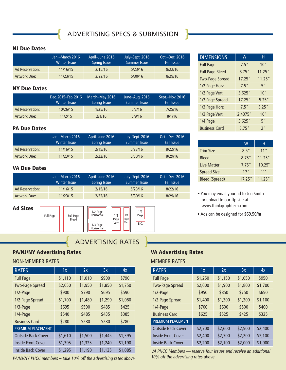ADVERTISING SPECS & Submission

#### NJ Due Dates

**{**

|                 | Jan.-March 2016<br>Winter Issue |         | July-Sept. 2016<br>' Summer Issue | Oct.-Dec. 2016<br><b>Fall Issue</b> |
|-----------------|---------------------------------|---------|-----------------------------------|-------------------------------------|
| Ad Reservation: | 11/16/15                        | 2/15/16 | 5/23/16                           | 8/22/16                             |
| Artwork Due:    | 11/23/15                        | 2/22/16 | 5/30/16                           | 8/29/16                             |

#### NY Due Dates

|                        | Dec. 2015-Feb. 2016<br><b>Winter Issue</b> | March-May 2016<br>Spring Issue | June-Aug. 2016<br>Summer Issue | Sept.-Nov. 2016<br><b>Fall Issue</b> |
|------------------------|--------------------------------------------|--------------------------------|--------------------------------|--------------------------------------|
| <b>Ad Reservation:</b> | 10/26/15                                   | 1/25/16                        | 5/2/16                         | 7/25/16                              |
| Artwork Due:           | 11/2/15                                    | 2/1/16                         | 5/9/16                         | 8/1/16                               |

#### PA Due Dates

|                     | Jan.-March 2016<br><b>Winter Issue</b> | April-June 2016<br><b>Spring Issue</b> | July-Sept. 2016<br>Summer Issue | Oct.-Dec. 2016<br><b>Fall Issue</b> |  |
|---------------------|----------------------------------------|----------------------------------------|---------------------------------|-------------------------------------|--|
| Ad Reservation:     | 11/16/15                               | 2/15/16                                | 5/23/16                         | 8/22/16                             |  |
| <b>Artwork Due:</b> | 11/23/15                               | 2/22/16                                | 5/30/16                         | 8/29/16                             |  |

#### VA Due Dates

|                 | Jan.-March 2016<br>Winter Issue | April-June 2016<br>Spring Issue | July-Sept. 2016<br>Summer Issue | Oct.-Dec. 2016<br><b>Fall Issue</b> |
|-----------------|---------------------------------|---------------------------------|---------------------------------|-------------------------------------|
| Ad Reservation: | 11/16/15                        | 2/15/16                         | 5/23/16                         | 8/22/16                             |
| Artwork Due:    | 11/23/15                        | 2/22/16                         | 5/30/16                         | 8/29/16                             |

Ad Sizes



ADVERTISING Rates

#### PA/NJ/NY Advertising Rates

#### Non-Member RATES

| <b>RATES</b>              | 1x      | 2x      | 3x      | 4x      |
|---------------------------|---------|---------|---------|---------|
| <b>Full Page</b>          | \$1,110 | \$1,010 | \$900   | \$790   |
| <b>Two-Page Spread</b>    | \$2,050 | \$1,950 | \$1,850 | \$1,750 |
| 1/2-Page                  | \$900   | \$790   | \$695   | \$590   |
| 1/2 Page Spread           | \$1,700 | \$1,480 | \$1,290 | \$1,080 |
| 1/3-Page                  | \$695   | \$590   | \$485   | \$425   |
| 1/4-Page                  | \$540   | \$485   | \$435   | \$385   |
| <b>Business Card</b>      | \$280   | \$280   | \$280   | \$280   |
| PREMIUM PLACEMENT         |         |         |         |         |
| <b>Outside Back Cover</b> | \$1,610 | \$1,500 | \$1,445 | \$1,395 |
| <b>Inside Front Cover</b> | \$1,395 | \$1,325 | \$1,240 | \$1,190 |
| <b>Inside Back Cover</b>  | \$1,295 | \$1,190 | \$1,135 | \$1,085 |

**{**

PA/NJ/NY PHCC members – take 10% off the advertising rates above

#### $DIMENSIONS$  W  $\parallel$  H Full Page  $\begin{array}{|c|c|c|c|c|c|} \hline \text{7.5}^{\text{u}} & \text{10}^{\text{u}} \\ \hline \end{array}$ Full Page Bleed 8.75" 11.25" Two-Page Spread 17.25" 11.25" 1/2 Page Horz | 7.5" | 5" 1/2 Page Vert 3.625" 10" 1/2 Page Spread 17.25" 5.25" 1/3 Page Horz 2.5" 3.25" 1/3 Page Vert 2.4375" 10" 1/4 Page 3.625" 5" Business Card 3.75" 2"

|                       | w      | н       |
|-----------------------|--------|---------|
| <b>Trim Size</b>      | 8.5"   | 11"     |
| <b>Bleed</b>          | 8.75"  | 11.25"  |
| Live Matter           | 7.75"  | 10.25'' |
| <b>Spread Size</b>    | 17"    | 11"     |
| <b>Bleed (Spread)</b> | 17.25" | 11.25"  |

- You may email your ad to Jen Smith or upload to our ftp site at www.thinkgraphtech.com
- Ads can be designed for \$69.50/hr

#### VA Advertising Rates

**}**

#### Member RATES

**}**

1/4

| <b>RATES</b>              | 1x      | 2x             | 3x      | 4x      |
|---------------------------|---------|----------------|---------|---------|
| <b>Full Page</b>          | \$1,250 | \$1,150        | \$1,050 | \$950   |
| <b>Two-Page Spread</b>    | \$2,000 | \$1,900        | \$1,800 | \$1,700 |
| $1/2$ -Page               | \$950   | \$850<br>\$750 |         | \$650   |
| 1/2 Page Spread           | \$1,400 | \$1,300        | \$1,200 | \$1,100 |
| 1/4-Page                  | \$700   | \$600          | \$500   | \$400   |
| <b>Business Card</b>      | \$625   | \$525          | \$425   | \$325   |
| <b>PREMIUM PLACEMENT</b>  |         |                |         |         |
| <b>Outside Back Cover</b> | \$2,700 | \$2,600        | \$2,500 | \$2,400 |
| <b>Inside Front Cover</b> | \$2,400 | \$2,300        | \$2,200 | \$2,100 |
| <b>Inside Back Cover</b>  | \$2,200 | \$2,100        | \$2,000 | \$1,900 |

VA PHCC Members — reserve four issues and receive an additional 10% off the advertising rates above